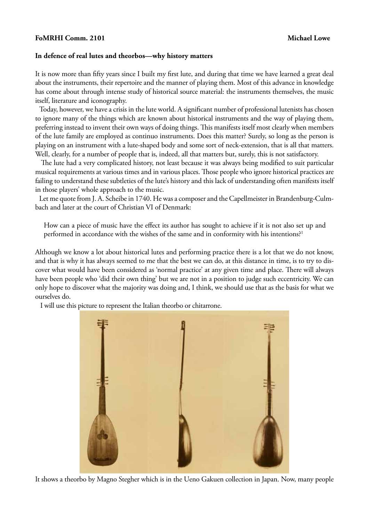## **FoMRHI Comm. 2101** Michael Lowe

## **In defence of real lutes and theorbos—why history matters**

It is now more than fifty years since I built my first lute, and during that time we have learned a great deal about the instruments, their repertoire and the manner of playing them. Most of this advance in knowledge has come about through intense study of historical source material: the instruments themselves, the music itself, literature and iconography.

 Today, however, we have a crisis in the lute world. A significant number of professional lutenists has chosen to ignore many of the things which are known about historical instruments and the way of playing them, preferring instead to invent their own ways of doing things. This manifests itself most clearly when members of the lute family are employed as continuo instruments. Does this matter? Surely, so long as the person is playing on an instrument with a lute-shaped body and some sort of neck-extension, that is all that matters. Well, clearly, for a number of people that is, indeed, all that matters but, surely, this is not satisfactory.

 The lute had a very complicated history, not least because it was always being modified to suit particular musical requirements at various times and in various places. Those people who ignore historical practices are failing to understand these subtleties of the lute's history and this lack of understanding often manifests itself in those players' whole approach to the music.

 Let me quote from J. A. Scheibe in 1740. He was a composer and the Capellmeister in Brandenburg-Culmbach and later at the court of Christian VI of Denmark:

How can a piece of music have the effect its author has sought to achieve if it is not also set up and performed in accordance with the wishes of the same and in conformity with his intentions?<sup>1</sup>

Although we know a lot about historical lutes and performing practice there is a lot that we do not know, and that is why it has always seemed to me that the best we can do, at this distance in time, is to try to discover what would have been considered as 'normal practice' at any given time and place. There will always have been people who 'did their own thing' but we are not in a position to judge such eccentricity. We can only hope to discover what the majority was doing and, I think, we should use that as the basis for what we ourselves do.

I will use this picture to represent the Italian theorbo or chitarrone.



It shows a theorbo by Magno Stegher which is in the Ueno Gakuen collection in Japan. Now, many people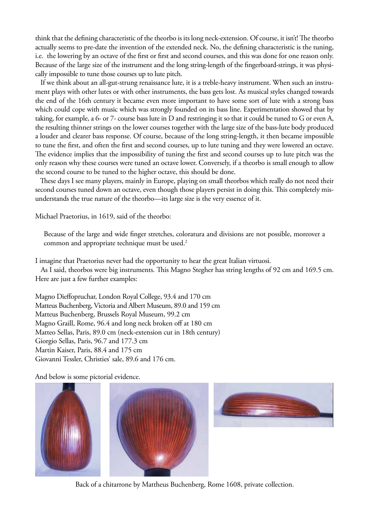think that the defining characteristic of the theorbo is its long neck-extension. Of course, it isn't! The theorbo actually seems to pre-date the invention of the extended neck. No, the defining characteristic is the tuning, i.e. the lowering by an octave of the first or first and second courses, and this was done for one reason only. Because of the large size of the instrument and the long string-length of the fingerboard-strings, it was physically impossible to tune those courses up to lute pitch.

 If we think about an all-gut-strung renaissance lute, it is a treble-heavy instrument. When such an instrument plays with other lutes or with other instruments, the bass gets lost. As musical styles changed towards the end of the 16th century it became even more important to have some sort of lute with a strong bass which could cope with music which was strongly founded on its bass line. Experimentation showed that by taking, for example, a 6- or 7- course bass lute in D and restringing it so that it could be tuned to G or even A, the resulting thinner strings on the lower courses together with the large size of the bass-lute body produced a louder and clearer bass response. Of course, because of the long string-length, it then became impossible to tune the first, and often the first and second courses, up to lute tuning and they were lowered an octave. The evidence implies that the impossibility of tuning the first and second courses up to lute pitch was the only reason why these courses were tuned an octave lower. Conversely, if a theorbo is small enough to allow the second course to be tuned to the higher octave, this should be done.

 These days I see many players, mainly in Europe, playing on small theorbos which really do not need their second courses tuned down an octave, even though those players persist in doing this. This completely misunderstands the true nature of the theorbo—its large size is the very essence of it.

Michael Praetorius, in 1619, said of the theorbo:

Because of the large and wide finger stretches, coloratura and divisions are not possible, moreover a common and appropriate technique must be used.<sup>2</sup>

I imagine that Praetorius never had the opportunity to hear the great Italian virtuosi.

 As I said, theorbos were big instruments. This Magno Stegher has string lengths of 92 cm and 169.5 cm. Here are just a few further examples:

Magno Dieffopruchar, London Royal College, 93.4 and 170 cm Matteus Buchenberg, Victoria and Albert Museum, 89.0 and 159 cm Matteus Buchenberg, Brussels Royal Museum, 99.2 cm Magno Graill, Rome, 96.4 and long neck broken off at 180 cm Matteo Sellas, Paris, 89.0 cm (neck-extension cut in 18th century) Giorgio Sellas, Paris, 96.7 and 177.3 cm Martin Kaiser, Paris, 88.4 and 175 cm Giovanni Tessler, Christies' sale, 89.6 and 176 cm.

And below is some pictorial evidence.







Back of a chitarrone by Mattheus Buchenberg, Rome 1608, private collection.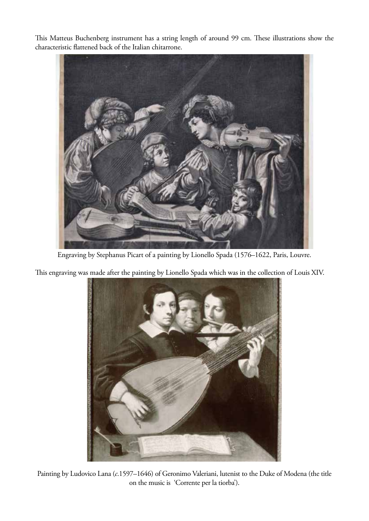This Matteus Buchenberg instrument has a string length of around 99 cm. These illustrations show the characteristic flattened back of the Italian chitarrone.



Engraving by Stephanus Picart of a painting by Lionello Spada (1576–1622, Paris, Louvre.

This engraving was made after the painting by Lionello Spada which was in the collection of Louis XIV.



Painting by Ludovico Lana (*c*.1597–1646) of Geronimo Valeriani, lutenist to the Duke of Modena (the title on the music is 'Corrente per la tiorba').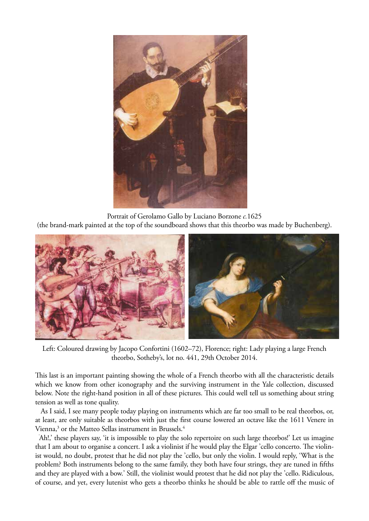

Portrait of Gerolamo Gallo by Luciano Borzone *c.*1625 (the brand-mark painted at the top of the soundboard shows that this theorbo was made by Buchenberg).



Left: Coloured drawing by Jacopo Confortini (1602–72), Florence; right: Lady playing a large French theorbo, Sotheby's, lot no. 441, 29th October 2014.

This last is an important painting showing the whole of a French theorbo with all the characteristic details which we know from other iconography and the surviving instrument in the Yale collection, discussed below. Note the right-hand position in all of these pictures. This could well tell us something about string tension as well as tone quality.

 As I said, I see many people today playing on instruments which are far too small to be real theorbos, or, at least, are only suitable as theorbos with just the first course lowered an octave like the 1611 Venere in Vienna, $^3$  or the Matteo Sellas instrument in Brussels. $^4$ 

 'Ah!,' these players say, 'it is impossible to play the solo repertoire on such large theorbos!' Let us imagine that I am about to organise a concert. I ask a violinist if he would play the Elgar 'cello concerto. The violinist would, no doubt, protest that he did not play the 'cello, but only the violin. I would reply, 'What is the problem? Both instruments belong to the same family, they both have four strings, they are tuned in fifths and they are played with a bow.' Still, the violinist would protest that he did not play the 'cello. Ridiculous, of course, and yet, every lutenist who gets a theorbo thinks he should be able to rattle off the music of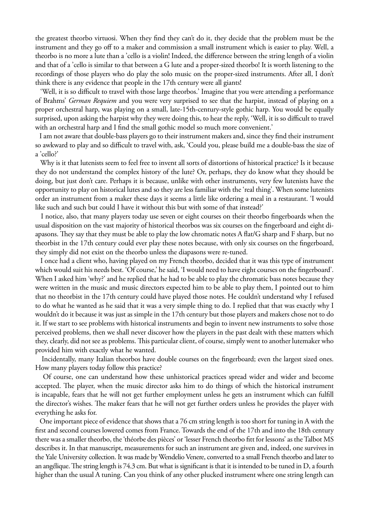the greatest theorbo virtuosi. When they find they can't do it, they decide that the problem must be the instrument and they go off to a maker and commission a small instrument which is easier to play. Well, a theorbo is no more a lute than a 'cello is a violin! Indeed, the difference between the string length of a violin and that of a 'cello is similar to that between a G lute and a proper-sized theorbo! It is worth listening to the recordings of those players who do play the solo music on the proper-sized instruments. After all, I don't think there is any evidence that people in the 17th century were all giants!

 'Well, it is so difficult to travel with those large theorbos.' Imagine that you were attending a performance of Brahms' *German Requiem* and you were very surprised to see that the harpist, instead of playing on a proper orchestral harp, was playing on a small, late-15th-century-style gothic harp. You would be equally surprised, upon asking the harpist why they were doing this, to hear the reply, 'Well, it is so difficult to travel with an orchestral harp and I find the small gothic model so much more convenient.'

 I am not aware that double-bass players go to their instrument makers and, since they find their instrument so awkward to play and so difficult to travel with, ask, 'Could you, please build me a double-bass the size of a 'cello?'

 Why is it that lutenists seem to feel free to invent all sorts of distortions of historical practice? Is it because they do not understand the complex history of the lute? Or, perhaps, they do know what they should be doing, but just don't care. Perhaps it is because, unlike with other instruments, very few lutenists have the opportunity to play on historical lutes and so they are less familiar with the 'real thing'. When some lutenists order an instrument from a maker these days it seems a little like ordering a meal in a restaurant. 'I would like such and such but could I have it without this but with some of that instead?'

 I notice, also, that many players today use seven or eight courses on their theorbo fingerboards when the usual disposition on the vast majority of historical theorbos was six courses on the fingerboard and eight diapasons. They say that they must be able to play the low chromatic notes A flat/G sharp and F sharp, but no theorbist in the 17th century could ever play these notes because, with only six courses on the fingerboard, they simply did not exist on the theorbo unless the diapasons were re-tuned.

 I once had a client who, having played on my French theorbo, decided that it was this type of instrument which would suit his needs best. 'Of course,' he said, 'I would need to have eight courses on the fingerboard'. When I asked him 'why?' and he replied that he had to be able to play the chromatic bass notes because they were written in the music and music directors expected him to be able to play them, I pointed out to him that no theorbist in the 17th century could have played those notes. He couldn't understand why I refused to do what he wanted as he said that it was a very simple thing to do. I replied that that was exactly why I wouldn't do it because it was just as simple in the 17th century but those players and makers chose not to do it. If we start to see problems with historical instruments and begin to invent new instruments to solve those perceived problems, then we shall never discover how the players in the past dealt with these matters which they, clearly, did not see as problems. This particular client, of course, simply went to another lutemaker who provided him with exactly what he wanted.

 Incidentally, many Italian theorbos have double courses on the fingerboard; even the largest sized ones. How many players today follow this practice?

 Of course, one can understand how these unhistorical practices spread wider and wider and become accepted. The player, when the music director asks him to do things of which the historical instrument is incapable, fears that he will not get further employment unless he gets an instrument which can fulfill the director's wishes. The maker fears that he will not get further orders unless he provides the player with everything he asks for.

 One important piece of evidence that shows that a 76 cm string length is too short for tuning in A with the first and second courses lowered comes from France. Towards the end of the 17th and into the 18th century there was a smaller theorbo, the 'théorbe des pièces' or 'lesser French theorbo fitt for lessons' as the Talbot MS describes it. In that manuscript, measurements for such an instrument are given and, indeed, one survives in the Yale University collection. It was made by Wendelio Venere, converted to a small French theorbo and later to an angélique. The string length is 74.3 cm. But what is significant is that it is intended to be tuned in D, a fourth higher than the usual A tuning. Can you think of any other plucked instrument where one string length can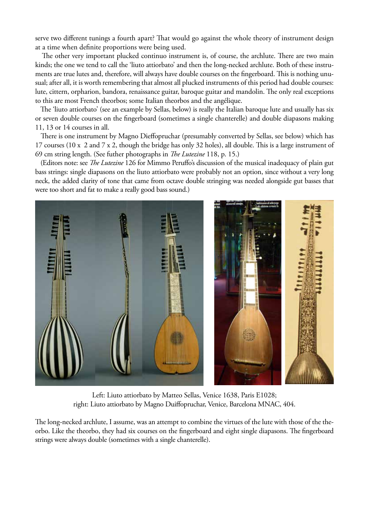serve two different tunings a fourth apart? That would go against the whole theory of instrument design at a time when definite proportions were being used.

 The other very important plucked continuo instrument is, of course, the archlute. There are two main kinds; the one we tend to call the 'liuto attiorbato' and then the long-necked archlute. Both of these instruments are true lutes and, therefore, will always have double courses on the fingerboard. This is nothing unusual; after all, it is worth remembering that almost all plucked instruments of this period had double courses: lute, cittern, orpharion, bandora, renaissance guitar, baroque guitar and mandolin. The only real exceptions to this are most French theorbos; some Italian theorbos and the angélique.

 The 'liuto attiorbato' (see an example by Sellas, below) is really the Italian baroque lute and usually has six or seven double courses on the fingerboard (sometimes a single chanterelle) and double diapasons making 11, 13 or 14 courses in all.

 There is one instrument by Magno Dieffopruchar (presumably converted by Sellas, see below) which has 17 courses (10 x 2 and 7 x 2, though the bridge has only 32 holes), all double. This is a large instrument of 69 cm string length. (See futher photographs in *The Lutezine* 118, p. 15.)

 (Editors note: see *The Lutezine* 126 for Mimmo Peruffo's discussion of the musical inadequacy of plain gut bass strings: single diapasons on the liuto attiorbato were probably not an option, since without a very long neck, the added clarity of tone that came from octave double stringing was needed alongside gut basses that were too short and fat to make a really good bass sound.)



Left: Liuto attiorbato by Matteo Sellas, Venice 1638, Paris E1028; right: Liuto attiorbato by Magno Duiffopruchar, Venice, Barcelona MNAC, 404.

The long-necked archlute, I assume, was an attempt to combine the virtues of the lute with those of the theorbo. Like the theorbo, they had six courses on the fingerboard and eight single diapasons. The fingerboard strings were always double (sometimes with a single chanterelle).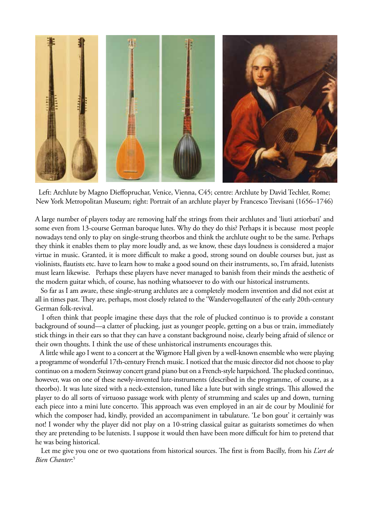

Left: Archlute by Magno Dieffopruchar, Venice, Vienna, C45; centre: Archlute by David Techler, Rome; New York Metropolitan Museum; right: Portrait of an archlute player by Francesco Trevisani (1656–1746)

A large number of players today are removing half the strings from their archlutes and 'liuti attiorbati' and some even from 13-course German baroque lutes. Why do they do this? Perhaps it is because most people nowadays tend only to play on single-strung theorbos and think the archlute ought to be the same. Perhaps they think it enables them to play more loudly and, as we know, these days loudness is considered a major virtue in music. Granted, it is more difficult to make a good, strong sound on double courses but, just as violinists, flautists etc. have to learn how to make a good sound on their instruments, so, I'm afraid, lutenists must learn likewise. Perhaps these players have never managed to banish from their minds the aesthetic of the modern guitar which, of course, has nothing whatsoever to do with our historical instruments.

 So far as I am aware, these single-strung archlutes are a completely modern invention and did not exist at all in times past. They are, perhaps, most closely related to the 'Wandervogellauten' of the early 20th-century German folk-revival.

 I often think that people imagine these days that the role of plucked continuo is to provide a constant background of sound—a clatter of plucking, just as younger people, getting on a bus or train, immediately stick things in their ears so that they can have a constant background noise, clearly being afraid of silence or their own thoughts. I think the use of these unhistorical instruments encourages this.

 A little while ago I went to a concert at the Wigmore Hall given by a well-known ensemble who were playing a programme of wonderful 17th-century French music. I noticed that the music director did not choose to play continuo on a modern Steinway concert grand piano but on a French-style harpsichord. The plucked continuo, however, was on one of these newly-invented lute-instruments (described in the programme, of course, as a theorbo). It was lute sized with a neck-extension, tuned like a lute but with single strings. This allowed the player to do all sorts of virtuoso passage work with plenty of strumming and scales up and down, turning each piece into a mini lute concerto. This approach was even employed in an air de cour by Moulinié for which the composer had, kindly, provided an accompaniment in tabulature. 'Le bon gout' it certainly was not! I wonder why the player did not play on a 10-string classical guitar as guitarists sometimes do when they are pretending to be lutenists. I suppose it would then have been more difficult for him to pretend that he was being historical.

 Let me give you one or two quotations from historical sources. The first is from Bacilly, from his *L'art de Bien Chanter*: 5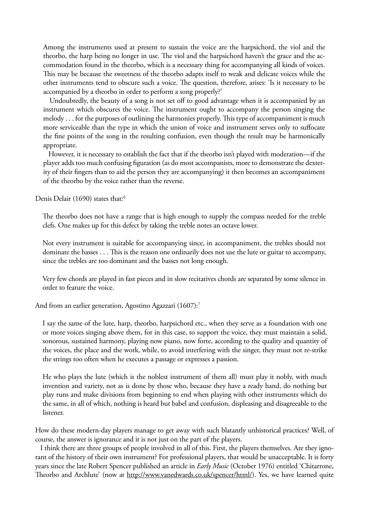Among the instruments used at present to sustain the voice are the harpsichord, the viol and the theorbo, the harp being no longer in use. The viol and the harpsichord haven't the grace and the accommodation found in the theorbo, which is a necessary thing for accompanying all kinds of voices. This may be because the sweetness of the theorbo adapts itself to weak and delicate voices while the other instruments tend to obscure such a voice. The question, therefore, arises: 'Is it necessary to be accompanied by a theorbo in order to perform a song properly?'

 Undoubtedly, the beauty of a song is not set off to good advantage when it is accompanied by an instrument which obscures the voice. The instrument ought to accompany the person singing the melody . . . for the purposes of outlining the harmonies properly. This type of accompaniment is much more serviceable than the type in which the union of voice and instrument serves only to suffocate the fine points of the song in the resulting confusion, even though the result may be harmonically appropriate.

 However, it is necessary to establish the fact that if the theorbo isn't played with moderation—if the player adds too much confusing figuration (as do most accompanists, more to demonstrate the dexterity of their fingers than to aid the person they are accompanying) it then becomes an accompaniment of the theorbo by the voice rather than the reverse.

Denis Delair (1690) states that:<sup>6</sup>

The theorbo does not have a range that is high enough to supply the compass needed for the treble clefs. One makes up for this defect by taking the treble notes an octave lower.

Not every instrument is suitable for accompanying since, in accompaniment, the trebles should not dominate the basses . . . This is the reason one ordinarily does not use the lute or guitar to accompany, since the trebles are too dominant and the basses not long enough.

Very few chords are played in fast pieces and in slow recitatives chords are separated by some silence in order to feature the voice.

And from an earlier generation, Agostino Agazzari (1607):<sup>7</sup>

I say the same of the lute, harp, theorbo, harpsichord etc., when they serve as a foundation with one or more voices singing above them, for in this case, to support the voice, they must maintain a solid, sonorous, sustained harmony, playing now piano, now forte, according to the quality and quantity of the voices, the place and the work, while, to avoid interfering with the singer, they must not re-strike the strings too often when he executes a passage or expresses a passion.

He who plays the lute (which is the noblest instrument of them all) must play it nobly, with much invention and variety, not as is done by those who, because they have a ready hand, do nothing but play runs and make divisions from beginning to end when playing with other instruments which do the same, in all of which, nothing is heard but babel and confusion, displeasing and disagreeable to the listener.

How do these modern-day players manage to get away with such blatantly unhistorical practices? Well, of course, the answer is ignorance and it is not just on the part of the players.

 I think there are three groups of people involved in all of this. First, the players themselves. Are they ignorant of the history of their own instrument? For professional players, that would be unacceptable. It is forty years since the late Robert Spencer published an article in *Early Music* (October 1976) entitled 'Chitarrone, Theorbo and Archlute' (now at http://www.vanedwards.co.uk/spencer/html/). Yes, we have learned quite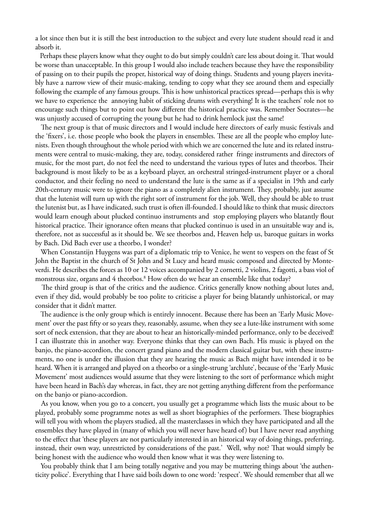a lot since then but it is still the best introduction to the subject and every lute student should read it and absorb it.

 Perhaps these players know what they ought to do but simply couldn't care less about doing it. That would be worse than unacceptable. In this group I would also include teachers because they have the responsibility of passing on to their pupils the proper, historical way of doing things. Students and young players inevitably have a narrow view of their music-making, tending to copy what they see around them and especially following the example of any famous groups. This is how unhistorical practices spread—perhaps this is why we have to experience the annoying habit of sticking drums with everything! It is the teachers' role not to encourage such things but to point out how different the historical practice was. Remember Socrates—he was unjustly accused of corrupting the young but he had to drink hemlock just the same!

 The next group is that of music directors and I would include here directors of early music festivals and the 'fixers', i.e. those people who book the players in ensembles. These are all the people who employ lutenists. Even though throughout the whole period with which we are concerned the lute and its related instruments were central to music-making, they are, today, considered rather fringe instruments and directors of music, for the most part, do not feel the need to understand the various types of lutes and theorbos. Their background is most likely to be as a keyboard player, an orchestral stringed-instrument player or a choral conductor, and their feeling no need to understand the lute is the same as if a specialist in 19th and early 20th-century music were to ignore the piano as a completely alien instrument. They, probably, just assume that the lutenist will turn up with the right sort of instrument for the job. Well, they should be able to trust the lutenist but, as I have indicated, such trust is often ill-founded. I should like to think that music directors would learn enough about plucked continuo instruments and stop employing players who blatantly flout historical practice. Their ignorance often means that plucked continuo is used in an unsuitable way and is, therefore, not as successful as it should be. We see theorbos and, Heaven help us, baroque guitars in works by Bach. Did Bach ever use a theorbo, I wonder?

 When Constantijn Huygens was part of a diplomatic trip to Venice, he went to vespers on the feast of St John the Baptist in the church of St John and St Lucy and heard music composed and directed by Monteverdi. He describes the forces as 10 or 12 voices accompanied by 2 cornetti, 2 violins, 2 fagotti, a bass viol of monstrous size, organs and 4 theorbos.<sup>8</sup> How often do we hear an ensemble like that today?

 The third group is that of the critics and the audience. Critics generally know nothing about lutes and, even if they did, would probably be too polite to criticise a player for being blatantly unhistorical, or may consider that it didn't matter.

 The audience is the only group which is entirely innocent. Because there has been an 'Early Music Movement' over the past fifty or so years they, reasonably, assume, when they see a lute-like instrument with some sort of neck extension, that they are about to hear an historically-minded performance, only to be deceived! I can illustrate this in another way. Everyone thinks that they can own Bach. His music is played on the banjo, the piano-accordion, the concert grand piano and the modern classical guitar but, with these instruments, no one is under the illusion that they are hearing the music as Bach might have intended it to be heard. When it is arranged and played on a theorbo or a single-strung 'archlute', because of the 'Early Music Movement' most audiences would assume that they were listening to the sort of performance which might have been heard in Bach's day whereas, in fact, they are not getting anything different from the performance on the banjo or piano-accordion.

 As you know, when you go to a concert, you usually get a programme which lists the music about to be played, probably some programme notes as well as short biographies of the performers. These biographies will tell you with whom the players studied, all the masterclasses in which they have participated and all the ensembles they have played in (many of which you will never have heard of) but I have never read anything to the effect that 'these players are not particularly interested in an historical way of doing things, preferring, instead, their own way, unrestricted by considerations of the past.' Well, why not? That would simply be being honest with the audience who would then know what it was they were listening to.

 You probably think that I am being totally negative and you may be muttering things about 'the authenticity police'. Everything that I have said boils down to one word: 'respect'. We should remember that all we